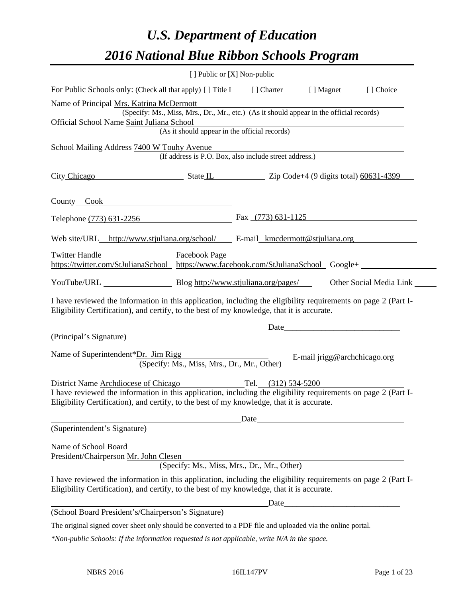# *U.S. Department of Education 2016 National Blue Ribbon Schools Program*

|                                                                                                                                                                                                              | [ ] Public or [X] Non-public                           |                      |                                                                                                                       |                         |
|--------------------------------------------------------------------------------------------------------------------------------------------------------------------------------------------------------------|--------------------------------------------------------|----------------------|-----------------------------------------------------------------------------------------------------------------------|-------------------------|
| For Public Schools only: (Check all that apply) [] Title I [] Charter [] Magnet                                                                                                                              |                                                        |                      |                                                                                                                       | [] Choice               |
| Name of Principal Mrs. Katrina McDermott<br>(Specify: Ms., Miss, Mrs., Dr., Mr., etc.) (As it should appear in the official records)                                                                         |                                                        |                      |                                                                                                                       |                         |
| Official School Name Saint Juliana School                                                                                                                                                                    | (As it should appear in the official records)          |                      |                                                                                                                       |                         |
|                                                                                                                                                                                                              |                                                        |                      |                                                                                                                       |                         |
| School Mailing Address 7400 W Touhy Avenue                                                                                                                                                                   | (If address is P.O. Box, also include street address.) |                      |                                                                                                                       |                         |
| City Chicago State IL Zip Code+4 (9 digits total) 60631-4399                                                                                                                                                 |                                                        |                      |                                                                                                                       |                         |
| County Cook County Cook                                                                                                                                                                                      |                                                        |                      |                                                                                                                       |                         |
| Telephone (773) 631-2256                                                                                                                                                                                     |                                                        | Fax $(773)$ 631-1125 |                                                                                                                       |                         |
| Web site/URL_http://www.stjuliana.org/school/ E-mail_kmcdermott@stjuliana.org                                                                                                                                |                                                        |                      |                                                                                                                       |                         |
| <b>Twitter Handle</b><br>https://twitter.com/StJulianaSchool https://www.facebook.com/StJulianaSchool Google+                                                                                                | Facebook Page                                          |                      |                                                                                                                       |                         |
|                                                                                                                                                                                                              |                                                        |                      |                                                                                                                       | Other Social Media Link |
| I have reviewed the information in this application, including the eligibility requirements on page 2 (Part I-<br>Eligibility Certification), and certify, to the best of my knowledge, that it is accurate. |                                                        |                      |                                                                                                                       |                         |
|                                                                                                                                                                                                              |                                                        | Date                 | <u> 1980 - Jan James James, martin amerikan basar dan bagi dan bagi dalam bagi dalam bagi dalam bagi dalam bagi d</u> |                         |
| (Principal's Signature)                                                                                                                                                                                      |                                                        |                      |                                                                                                                       |                         |
| Name of Superintendent*Dr. Jim Rigg                                                                                                                                                                          | (Specify: Ms., Miss, Mrs., Dr., Mr., Other)            |                      | E-mail jrigg@archchicago.org                                                                                          |                         |
| District Name Archdiocese of Chicago Tel. (312) 534-5200                                                                                                                                                     |                                                        |                      |                                                                                                                       |                         |
| I have reviewed the information in this application, including the eligibility requirements on page 2 (Part I-<br>Eligibility Certification), and certify, to the best of my knowledge, that it is accurate. |                                                        |                      |                                                                                                                       |                         |
|                                                                                                                                                                                                              |                                                        | Date                 |                                                                                                                       |                         |
| (Superintendent's Signature)                                                                                                                                                                                 |                                                        |                      |                                                                                                                       |                         |
| Name of School Board<br>President/Chairperson Mr. John Clesen                                                                                                                                                |                                                        |                      |                                                                                                                       |                         |
|                                                                                                                                                                                                              | (Specify: Ms., Miss, Mrs., Dr., Mr., Other)            |                      |                                                                                                                       |                         |
| I have reviewed the information in this application, including the eligibility requirements on page 2 (Part I-<br>Eligibility Certification), and certify, to the best of my knowledge, that it is accurate. |                                                        |                      |                                                                                                                       |                         |
|                                                                                                                                                                                                              |                                                        | Date                 |                                                                                                                       |                         |
| (School Board President's/Chairperson's Signature)                                                                                                                                                           |                                                        |                      |                                                                                                                       |                         |
| The original signed cover sheet only should be converted to a PDF file and uploaded via the online portal.                                                                                                   |                                                        |                      |                                                                                                                       |                         |
| *Non-public Schools: If the information requested is not applicable, write N/A in the space.                                                                                                                 |                                                        |                      |                                                                                                                       |                         |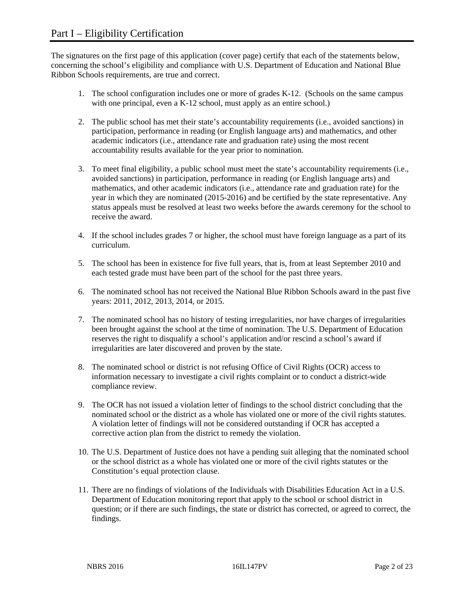The signatures on the first page of this application (cover page) certify that each of the statements below, concerning the school's eligibility and compliance with U.S. Department of Education and National Blue Ribbon Schools requirements, are true and correct.

- 1. The school configuration includes one or more of grades K-12. (Schools on the same campus with one principal, even a K-12 school, must apply as an entire school.)
- 2. The public school has met their state's accountability requirements (i.e., avoided sanctions) in participation, performance in reading (or English language arts) and mathematics, and other academic indicators (i.e., attendance rate and graduation rate) using the most recent accountability results available for the year prior to nomination.
- 3. To meet final eligibility, a public school must meet the state's accountability requirements (i.e., avoided sanctions) in participation, performance in reading (or English language arts) and mathematics, and other academic indicators (i.e., attendance rate and graduation rate) for the year in which they are nominated (2015-2016) and be certified by the state representative. Any status appeals must be resolved at least two weeks before the awards ceremony for the school to receive the award.
- 4. If the school includes grades 7 or higher, the school must have foreign language as a part of its curriculum.
- 5. The school has been in existence for five full years, that is, from at least September 2010 and each tested grade must have been part of the school for the past three years.
- 6. The nominated school has not received the National Blue Ribbon Schools award in the past five years: 2011, 2012, 2013, 2014, or 2015.
- 7. The nominated school has no history of testing irregularities, nor have charges of irregularities been brought against the school at the time of nomination. The U.S. Department of Education reserves the right to disqualify a school's application and/or rescind a school's award if irregularities are later discovered and proven by the state.
- 8. The nominated school or district is not refusing Office of Civil Rights (OCR) access to information necessary to investigate a civil rights complaint or to conduct a district-wide compliance review.
- 9. The OCR has not issued a violation letter of findings to the school district concluding that the nominated school or the district as a whole has violated one or more of the civil rights statutes. A violation letter of findings will not be considered outstanding if OCR has accepted a corrective action plan from the district to remedy the violation.
- 10. The U.S. Department of Justice does not have a pending suit alleging that the nominated school or the school district as a whole has violated one or more of the civil rights statutes or the Constitution's equal protection clause.
- 11. There are no findings of violations of the Individuals with Disabilities Education Act in a U.S. Department of Education monitoring report that apply to the school or school district in question; or if there are such findings, the state or district has corrected, or agreed to correct, the findings.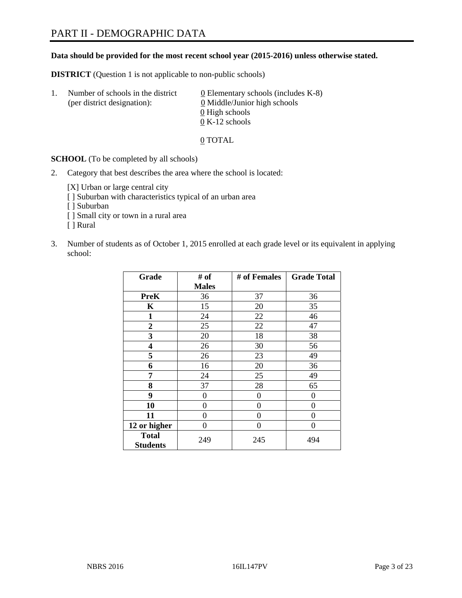#### **Data should be provided for the most recent school year (2015-2016) unless otherwise stated.**

**DISTRICT** (Question 1 is not applicable to non-public schools)

| Τ. | Number of schools in the district<br>(per district designation): | 0 Elementary schools (includes $K-8$ )<br>0 Middle/Junior high schools |
|----|------------------------------------------------------------------|------------------------------------------------------------------------|
|    |                                                                  | 0 High schools<br>$0 K-12$ schools                                     |

0 TOTAL

**SCHOOL** (To be completed by all schools)

2. Category that best describes the area where the school is located:

[X] Urban or large central city

- [ ] Suburban with characteristics typical of an urban area
- [ ] Suburban
- [ ] Small city or town in a rural area
- [ ] Rural
- 3. Number of students as of October 1, 2015 enrolled at each grade level or its equivalent in applying school:

| Grade                           | # of         | # of Females | <b>Grade Total</b> |
|---------------------------------|--------------|--------------|--------------------|
|                                 | <b>Males</b> |              |                    |
| <b>PreK</b>                     | 36           | 37           | 36                 |
| $\mathbf K$                     | 15           | 20           | 35                 |
| $\mathbf{1}$                    | 24           | 22           | 46                 |
| $\overline{2}$                  | 25           | 22           | 47                 |
| 3                               | 20           | 18           | 38                 |
| 4                               | 26           | 30           | 56                 |
| 5                               | 26           | 23           | 49                 |
| 6                               | 16           | 20           | 36                 |
| 7                               | 24           | 25           | 49                 |
| 8                               | 37           | 28           | 65                 |
| 9                               | 0            | 0            | 0                  |
| 10                              | 0            | $\theta$     | $\Omega$           |
| 11                              | 0            | 0            | 0                  |
| 12 or higher                    | 0            | 0            | 0                  |
| <b>Total</b><br><b>Students</b> | 249          | 245          | 494                |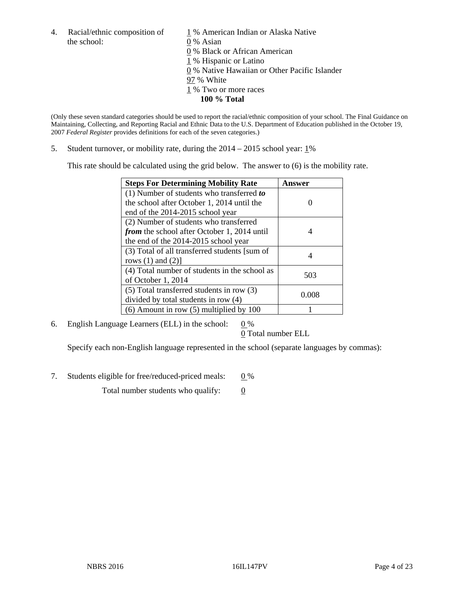the school: 0 % Asian

4. Racial/ethnic composition of  $1\%$  American Indian or Alaska Native 0 % Black or African American 1 % Hispanic or Latino

0 % Native Hawaiian or Other Pacific Islander

97 % White

- 1 % Two or more races
	- **100 % Total**

(Only these seven standard categories should be used to report the racial/ethnic composition of your school. The Final Guidance on Maintaining, Collecting, and Reporting Racial and Ethnic Data to the U.S. Department of Education published in the October 19, 2007 *Federal Register* provides definitions for each of the seven categories.)

5. Student turnover, or mobility rate, during the  $2014 - 2015$  school year:  $1\%$ 

This rate should be calculated using the grid below. The answer to (6) is the mobility rate.

| <b>Steps For Determining Mobility Rate</b>    | Answer |
|-----------------------------------------------|--------|
| $(1)$ Number of students who transferred to   |        |
| the school after October 1, 2014 until the    |        |
| end of the 2014-2015 school year              |        |
| (2) Number of students who transferred        |        |
| from the school after October 1, 2014 until   |        |
| the end of the 2014-2015 school year          |        |
| (3) Total of all transferred students [sum of |        |
| rows $(1)$ and $(2)$ ]                        |        |
| (4) Total number of students in the school as | 503    |
| of October 1, 2014                            |        |
| (5) Total transferred students in row (3)     | 0.008  |
| divided by total students in row (4)          |        |
| $(6)$ Amount in row $(5)$ multiplied by 100   |        |

6. English Language Learners (ELL) in the school:  $0\%$ 

0 Total number ELL

Specify each non-English language represented in the school (separate languages by commas):

7. Students eligible for free/reduced-priced meals: 0 %

Total number students who qualify:  $\qquad 0$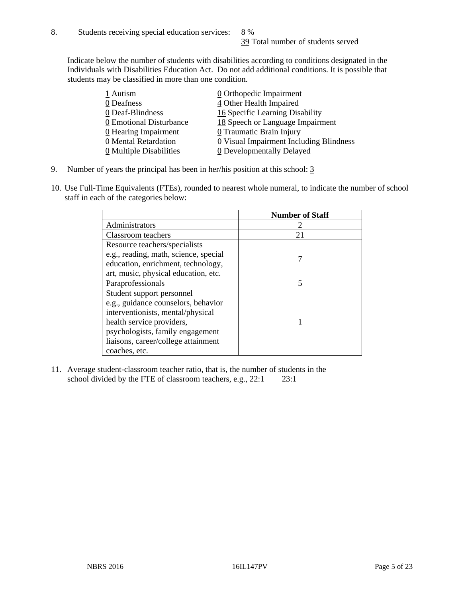Indicate below the number of students with disabilities according to conditions designated in the Individuals with Disabilities Education Act. Do not add additional conditions. It is possible that students may be classified in more than one condition.

| 1 Autism                           | 0 Orthopedic Impairment                 |
|------------------------------------|-----------------------------------------|
| 0 Deafness                         | 4 Other Health Impaired                 |
| 0 Deaf-Blindness                   | 16 Specific Learning Disability         |
| 0 Emotional Disturbance            | 18 Speech or Language Impairment        |
| $\underline{0}$ Hearing Impairment | $\underline{0}$ Traumatic Brain Injury  |
| $\underline{0}$ Mental Retardation | 0 Visual Impairment Including Blindness |
| 0 Multiple Disabilities            | <b>0</b> Developmentally Delayed        |

- 9. Number of years the principal has been in her/his position at this school: 3
- 10. Use Full-Time Equivalents (FTEs), rounded to nearest whole numeral, to indicate the number of school staff in each of the categories below:

|                                       | <b>Number of Staff</b> |
|---------------------------------------|------------------------|
| Administrators                        |                        |
| Classroom teachers                    | 21                     |
| Resource teachers/specialists         |                        |
| e.g., reading, math, science, special |                        |
| education, enrichment, technology,    |                        |
| art, music, physical education, etc.  |                        |
| Paraprofessionals                     | 5                      |
| Student support personnel             |                        |
| e.g., guidance counselors, behavior   |                        |
| interventionists, mental/physical     |                        |
| health service providers,             |                        |
| psychologists, family engagement      |                        |
| liaisons, career/college attainment   |                        |
| coaches, etc.                         |                        |

11. Average student-classroom teacher ratio, that is, the number of students in the school divided by the FTE of classroom teachers, e.g., 22:1 23:1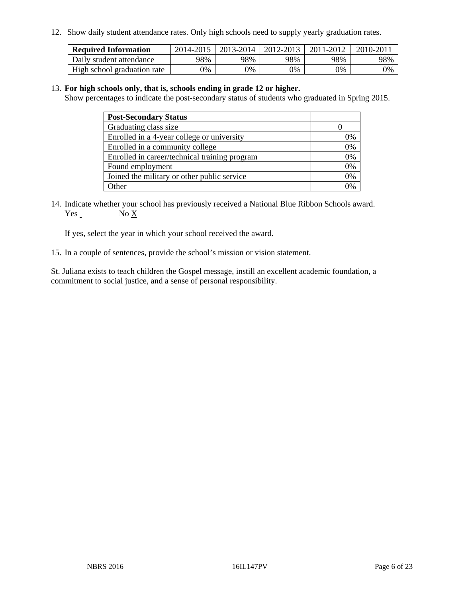12. Show daily student attendance rates. Only high schools need to supply yearly graduation rates.

| <b>Required Information</b> | 2014-2015 | $2013 - 2014$ | 2012-2013  | 2011-2012 | $2010 - 201$ |
|-----------------------------|-----------|---------------|------------|-----------|--------------|
| Daily student attendance    | 98%       | 98%           | 98%        | 98%       | 98%          |
| High school graduation rate | 9%        | 0%            | $\gamma$ % | 9%        | 0%           |

#### 13. **For high schools only, that is, schools ending in grade 12 or higher.**

Show percentages to indicate the post-secondary status of students who graduated in Spring 2015.

| <b>Post-Secondary Status</b>                  |    |
|-----------------------------------------------|----|
| Graduating class size                         |    |
| Enrolled in a 4-year college or university    | 0% |
| Enrolled in a community college               | 0% |
| Enrolled in career/technical training program | 0% |
| Found employment                              | 0% |
| Joined the military or other public service   | 0% |
| Other                                         | 0/ |

14. Indicate whether your school has previously received a National Blue Ribbon Schools award. Yes No X

If yes, select the year in which your school received the award.

15. In a couple of sentences, provide the school's mission or vision statement.

St. Juliana exists to teach children the Gospel message, instill an excellent academic foundation, a commitment to social justice, and a sense of personal responsibility.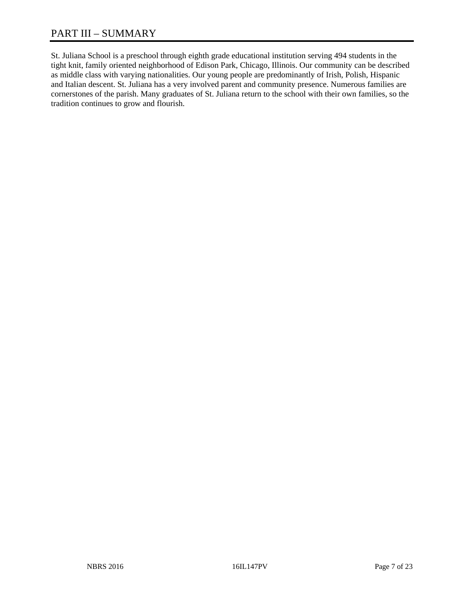# PART III – SUMMARY

St. Juliana School is a preschool through eighth grade educational institution serving 494 students in the tight knit, family oriented neighborhood of Edison Park, Chicago, Illinois. Our community can be described as middle class with varying nationalities. Our young people are predominantly of Irish, Polish, Hispanic and Italian descent. St. Juliana has a very involved parent and community presence. Numerous families are cornerstones of the parish. Many graduates of St. Juliana return to the school with their own families, so the tradition continues to grow and flourish.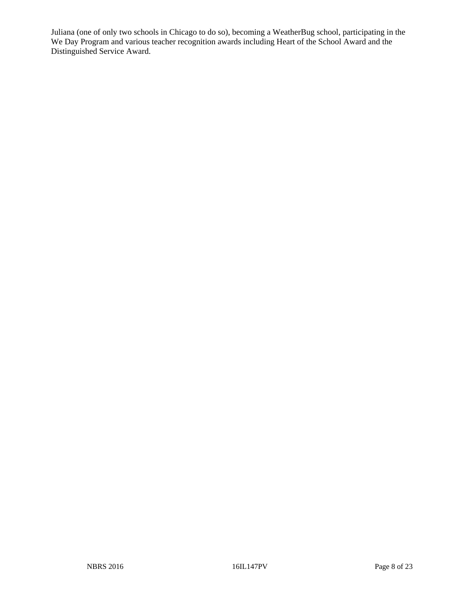Juliana (one of only two schools in Chicago to do so), becoming a WeatherBug school, participating in the We Day Program and various teacher recognition awards including Heart of the School Award and the Distinguished Service Award.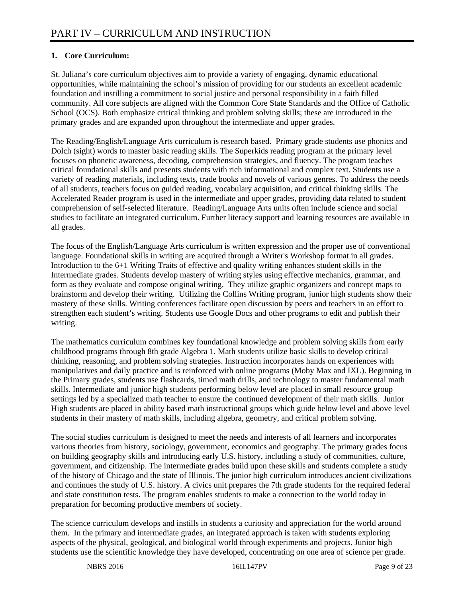# **1. Core Curriculum:**

St. Juliana's core curriculum objectives aim to provide a variety of engaging, dynamic educational opportunities, while maintaining the school's mission of providing for our students an excellent academic foundation and instilling a commitment to social justice and personal responsibility in a faith filled community. All core subjects are aligned with the Common Core State Standards and the Office of Catholic School (OCS). Both emphasize critical thinking and problem solving skills; these are introduced in the primary grades and are expanded upon throughout the intermediate and upper grades.

The Reading/English/Language Arts curriculum is research based. Primary grade students use phonics and Dolch (sight) words to master basic reading skills. The Superkids reading program at the primary level focuses on phonetic awareness, decoding, comprehension strategies, and fluency. The program teaches critical foundational skills and presents students with rich informational and complex text. Students use a variety of reading materials, including texts, trade books and novels of various genres. To address the needs of all students, teachers focus on guided reading, vocabulary acquisition, and critical thinking skills. The Accelerated Reader program is used in the intermediate and upper grades, providing data related to student comprehension of self-selected literature. Reading/Language Arts units often include science and social studies to facilitate an integrated curriculum. Further literacy support and learning resources are available in all grades.

The focus of the English/Language Arts curriculum is written expression and the proper use of conventional language. Foundational skills in writing are acquired through a Writer's Workshop format in all grades. Introduction to the 6+1 Writing Traits of effective and quality writing enhances student skills in the Intermediate grades. Students develop mastery of writing styles using effective mechanics, grammar, and form as they evaluate and compose original writing. They utilize graphic organizers and concept maps to brainstorm and develop their writing. Utilizing the Collins Writing program, junior high students show their mastery of these skills. Writing conferences facilitate open discussion by peers and teachers in an effort to strengthen each student's writing. Students use Google Docs and other programs to edit and publish their writing.

The mathematics curriculum combines key foundational knowledge and problem solving skills from early childhood programs through 8th grade Algebra 1. Math students utilize basic skills to develop critical thinking, reasoning, and problem solving strategies. Instruction incorporates hands on experiences with manipulatives and daily practice and is reinforced with online programs (Moby Max and IXL). Beginning in the Primary grades, students use flashcards, timed math drills, and technology to master fundamental math skills. Intermediate and junior high students performing below level are placed in small resource group settings led by a specialized math teacher to ensure the continued development of their math skills. Junior High students are placed in ability based math instructional groups which guide below level and above level students in their mastery of math skills, including algebra, geometry, and critical problem solving.

The social studies curriculum is designed to meet the needs and interests of all learners and incorporates various theories from history, sociology, government, economics and geography. The primary grades focus on building geography skills and introducing early U.S. history, including a study of communities, culture, government, and citizenship. The intermediate grades build upon these skills and students complete a study of the history of Chicago and the state of Illinois. The junior high curriculum introduces ancient civilizations and continues the study of U.S. history. A civics unit prepares the 7th grade students for the required federal and state constitution tests. The program enables students to make a connection to the world today in preparation for becoming productive members of society.

The science curriculum develops and instills in students a curiosity and appreciation for the world around them. In the primary and intermediate grades, an integrated approach is taken with students exploring aspects of the physical, geological, and biological world through experiments and projects. Junior high students use the scientific knowledge they have developed, concentrating on one area of science per grade.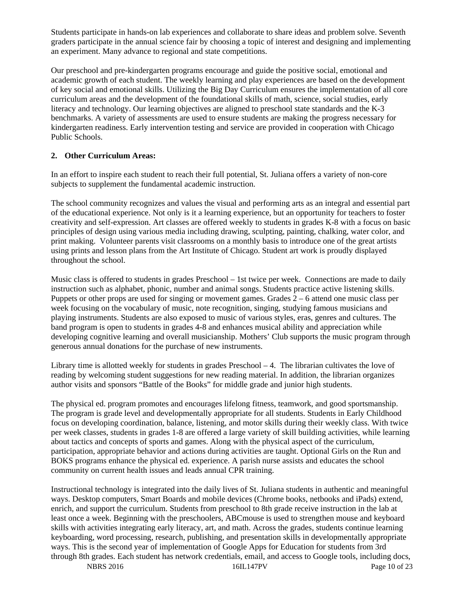Students participate in hands-on lab experiences and collaborate to share ideas and problem solve. Seventh graders participate in the annual science fair by choosing a topic of interest and designing and implementing an experiment. Many advance to regional and state competitions.

Our preschool and pre-kindergarten programs encourage and guide the positive social, emotional and academic growth of each student. The weekly learning and play experiences are based on the development of key social and emotional skills. Utilizing the Big Day Curriculum ensures the implementation of all core curriculum areas and the development of the foundational skills of math, science, social studies, early literacy and technology. Our learning objectives are aligned to preschool state standards and the K-3 benchmarks. A variety of assessments are used to ensure students are making the progress necessary for kindergarten readiness. Early intervention testing and service are provided in cooperation with Chicago Public Schools.

## **2. Other Curriculum Areas:**

In an effort to inspire each student to reach their full potential, St. Juliana offers a variety of non-core subjects to supplement the fundamental academic instruction.

The school community recognizes and values the visual and performing arts as an integral and essential part of the educational experience. Not only is it a learning experience, but an opportunity for teachers to foster creativity and self-expression. Art classes are offered weekly to students in grades K-8 with a focus on basic principles of design using various media including drawing, sculpting, painting, chalking, water color, and print making. Volunteer parents visit classrooms on a monthly basis to introduce one of the great artists using prints and lesson plans from the Art Institute of Chicago. Student art work is proudly displayed throughout the school.

Music class is offered to students in grades Preschool – 1st twice per week. Connections are made to daily instruction such as alphabet, phonic, number and animal songs. Students practice active listening skills. Puppets or other props are used for singing or movement games. Grades 2 – 6 attend one music class per week focusing on the vocabulary of music, note recognition, singing, studying famous musicians and playing instruments. Students are also exposed to music of various styles, eras, genres and cultures. The band program is open to students in grades 4-8 and enhances musical ability and appreciation while developing cognitive learning and overall musicianship. Mothers' Club supports the music program through generous annual donations for the purchase of new instruments.

Library time is allotted weekly for students in grades Preschool – 4. The librarian cultivates the love of reading by welcoming student suggestions for new reading material. In addition, the librarian organizes author visits and sponsors "Battle of the Books" for middle grade and junior high students.

The physical ed. program promotes and encourages lifelong fitness, teamwork, and good sportsmanship. The program is grade level and developmentally appropriate for all students. Students in Early Childhood focus on developing coordination, balance, listening, and motor skills during their weekly class. With twice per week classes, students in grades 1-8 are offered a large variety of skill building activities, while learning about tactics and concepts of sports and games. Along with the physical aspect of the curriculum, participation, appropriate behavior and actions during activities are taught. Optional Girls on the Run and BOKS programs enhance the physical ed. experience. A parish nurse assists and educates the school community on current health issues and leads annual CPR training.

Instructional technology is integrated into the daily lives of St. Juliana students in authentic and meaningful ways. Desktop computers, Smart Boards and mobile devices (Chrome books, netbooks and iPads) extend, enrich, and support the curriculum. Students from preschool to 8th grade receive instruction in the lab at least once a week. Beginning with the preschoolers, ABCmouse is used to strengthen mouse and keyboard skills with activities integrating early literacy, art, and math. Across the grades, students continue learning keyboarding, word processing, research, publishing, and presentation skills in developmentally appropriate ways. This is the second year of implementation of Google Apps for Education for students from 3rd through 8th grades. Each student has network credentials, email, and access to Google tools, including docs,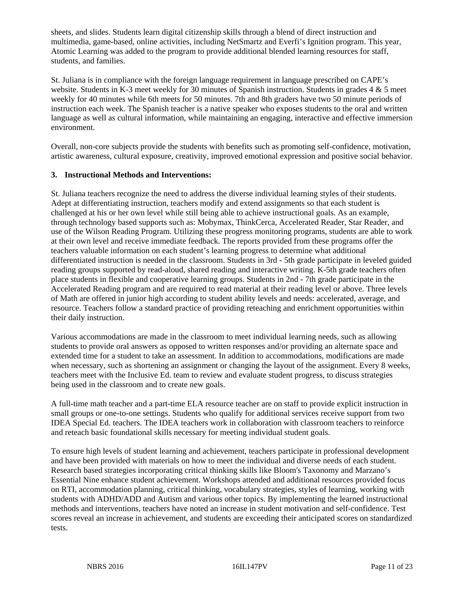sheets, and slides. Students learn digital citizenship skills through a blend of direct instruction and multimedia, game-based, online activities, including NetSmartz and Everfi's Ignition program. This year, Atomic Learning was added to the program to provide additional blended learning resources for staff, students, and families.

St. Juliana is in compliance with the foreign language requirement in language prescribed on CAPE's website. Students in K-3 meet weekly for 30 minutes of Spanish instruction. Students in grades 4 & 5 meet weekly for 40 minutes while 6th meets for 50 minutes. 7th and 8th graders have two 50 minute periods of instruction each week. The Spanish teacher is a native speaker who exposes students to the oral and written language as well as cultural information, while maintaining an engaging, interactive and effective immersion environment.

Overall, non-core subjects provide the students with benefits such as promoting self-confidence, motivation, artistic awareness, cultural exposure, creativity, improved emotional expression and positive social behavior.

#### **3. Instructional Methods and Interventions:**

St. Juliana teachers recognize the need to address the diverse individual learning styles of their students. Adept at differentiating instruction, teachers modify and extend assignments so that each student is challenged at his or her own level while still being able to achieve instructional goals. As an example, through technology based supports such as: Mobymax, ThinkCerca, Accelerated Reader, Star Reader, and use of the Wilson Reading Program. Utilizing these progress monitoring programs, students are able to work at their own level and receive immediate feedback. The reports provided from these programs offer the teachers valuable information on each student's learning progress to determine what additional differentiated instruction is needed in the classroom. Students in 3rd - 5th grade participate in leveled guided reading groups supported by read-aloud, shared reading and interactive writing. K-5th grade teachers often place students in flexible and cooperative learning groups. Students in 2nd - 7th grade participate in the Accelerated Reading program and are required to read material at their reading level or above. Three levels of Math are offered in junior high according to student ability levels and needs: accelerated, average, and resource. Teachers follow a standard practice of providing reteaching and enrichment opportunities within their daily instruction.

Various accommodations are made in the classroom to meet individual learning needs, such as allowing students to provide oral answers as opposed to written responses and/or providing an alternate space and extended time for a student to take an assessment. In addition to accommodations, modifications are made when necessary, such as shortening an assignment or changing the layout of the assignment. Every 8 weeks, teachers meet with the Inclusive Ed. team to review and evaluate student progress, to discuss strategies being used in the classroom and to create new goals.

A full-time math teacher and a part-time ELA resource teacher are on staff to provide explicit instruction in small groups or one-to-one settings. Students who qualify for additional services receive support from two IDEA Special Ed. teachers. The IDEA teachers work in collaboration with classroom teachers to reinforce and reteach basic foundational skills necessary for meeting individual student goals.

To ensure high levels of student learning and achievement, teachers participate in professional development and have been provided with materials on how to meet the individual and diverse needs of each student. Research based strategies incorporating critical thinking skills like Bloom's Taxonomy and Marzano's Essential Nine enhance student achievement. Workshops attended and additional resources provided focus on RTI, accommodation planning, critical thinking, vocabulary strategies, styles of learning, working with students with ADHD/ADD and Autism and various other topics. By implementing the learned instructional methods and interventions, teachers have noted an increase in student motivation and self-confidence. Test scores reveal an increase in achievement, and students are exceeding their anticipated scores on standardized tests.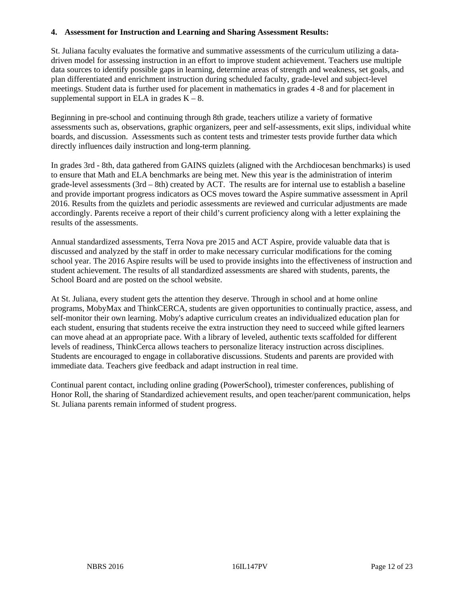#### **4. Assessment for Instruction and Learning and Sharing Assessment Results:**

St. Juliana faculty evaluates the formative and summative assessments of the curriculum utilizing a datadriven model for assessing instruction in an effort to improve student achievement. Teachers use multiple data sources to identify possible gaps in learning, determine areas of strength and weakness, set goals, and plan differentiated and enrichment instruction during scheduled faculty, grade-level and subject-level meetings. Student data is further used for placement in mathematics in grades 4 -8 and for placement in supplemental support in ELA in grades  $K - 8$ .

Beginning in pre-school and continuing through 8th grade, teachers utilize a variety of formative assessments such as, observations, graphic organizers, peer and self-assessments, exit slips, individual white boards, and discussion. Assessments such as content tests and trimester tests provide further data which directly influences daily instruction and long-term planning.

In grades 3rd - 8th, data gathered from GAINS quizlets (aligned with the Archdiocesan benchmarks) is used to ensure that Math and ELA benchmarks are being met. New this year is the administration of interim grade-level assessments (3rd – 8th) created by ACT. The results are for internal use to establish a baseline and provide important progress indicators as OCS moves toward the Aspire summative assessment in April 2016. Results from the quizlets and periodic assessments are reviewed and curricular adjustments are made accordingly. Parents receive a report of their child's current proficiency along with a letter explaining the results of the assessments.

Annual standardized assessments, Terra Nova pre 2015 and ACT Aspire, provide valuable data that is discussed and analyzed by the staff in order to make necessary curricular modifications for the coming school year. The 2016 Aspire results will be used to provide insights into the effectiveness of instruction and student achievement. The results of all standardized assessments are shared with students, parents, the School Board and are posted on the school website.

At St. Juliana, every student gets the attention they deserve. Through in school and at home online programs, MobyMax and ThinkCERCA, students are given opportunities to continually practice, assess, and self-monitor their own learning. Moby's adaptive curriculum creates an individualized education plan for each student, ensuring that students receive the extra instruction they need to succeed while gifted learners can move ahead at an appropriate pace. With a library of leveled, authentic texts scaffolded for different levels of readiness, ThinkCerca allows teachers to personalize literacy instruction across disciplines. Students are encouraged to engage in collaborative discussions. Students and parents are provided with immediate data. Teachers give feedback and adapt instruction in real time.

Continual parent contact, including online grading (PowerSchool), trimester conferences, publishing of Honor Roll, the sharing of Standardized achievement results, and open teacher/parent communication, helps St. Juliana parents remain informed of student progress.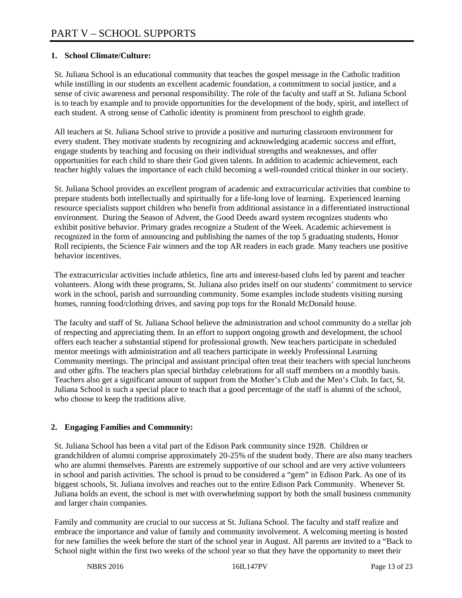## **1. School Climate/Culture:**

St. Juliana School is an educational community that teaches the gospel message in the Catholic tradition while instilling in our students an excellent academic foundation, a commitment to social justice, and a sense of civic awareness and personal responsibility. The role of the faculty and staff at St. Juliana School is to teach by example and to provide opportunities for the development of the body, spirit, and intellect of each student. A strong sense of Catholic identity is prominent from preschool to eighth grade.

All teachers at St. Juliana School strive to provide a positive and nurturing classroom environment for every student. They motivate students by recognizing and acknowledging academic success and effort, engage students by teaching and focusing on their individual strengths and weaknesses, and offer opportunities for each child to share their God given talents. In addition to academic achievement, each teacher highly values the importance of each child becoming a well-rounded critical thinker in our society.

St. Juliana School provides an excellent program of academic and extracurricular activities that combine to prepare students both intellectually and spiritually for a life-long love of learning. Experienced learning resource specialists support children who benefit from additional assistance in a differentiated instructional environment. During the Season of Advent, the Good Deeds award system recognizes students who exhibit positive behavior. Primary grades recognize a Student of the Week. Academic achievement is recognized in the form of announcing and publishing the names of the top 5 graduating students, Honor Roll recipients, the Science Fair winners and the top AR readers in each grade. Many teachers use positive behavior incentives.

The extracurricular activities include athletics, fine arts and interest-based clubs led by parent and teacher volunteers. Along with these programs, St. Juliana also prides itself on our students' commitment to service work in the school, parish and surrounding community. Some examples include students visiting nursing homes, running food/clothing drives, and saving pop tops for the Ronald McDonald house.

The faculty and staff of St. Juliana School believe the administration and school community do a stellar job of respecting and appreciating them. In an effort to support ongoing growth and development, the school offers each teacher a substantial stipend for professional growth. New teachers participate in scheduled mentor meetings with administration and all teachers participate in weekly Professional Learning Community meetings. The principal and assistant principal often treat their teachers with special luncheons and other gifts. The teachers plan special birthday celebrations for all staff members on a monthly basis. Teachers also get a significant amount of support from the Mother's Club and the Men's Club. In fact, St. Juliana School is such a special place to teach that a good percentage of the staff is alumni of the school, who choose to keep the traditions alive.

## **2. Engaging Families and Community:**

St. Juliana School has been a vital part of the Edison Park community since 1928. Children or grandchildren of alumni comprise approximately 20-25% of the student body. There are also many teachers who are alumni themselves. Parents are extremely supportive of our school and are very active volunteers in school and parish activities. The school is proud to be considered a "gem" in Edison Park. As one of its biggest schools, St. Juliana involves and reaches out to the entire Edison Park Community. Whenever St. Juliana holds an event, the school is met with overwhelming support by both the small business community and larger chain companies.

Family and community are crucial to our success at St. Juliana School. The faculty and staff realize and embrace the importance and value of family and community involvement. A welcoming meeting is hosted for new families the week before the start of the school year in August. All parents are invited to a "Back to School night within the first two weeks of the school year so that they have the opportunity to meet their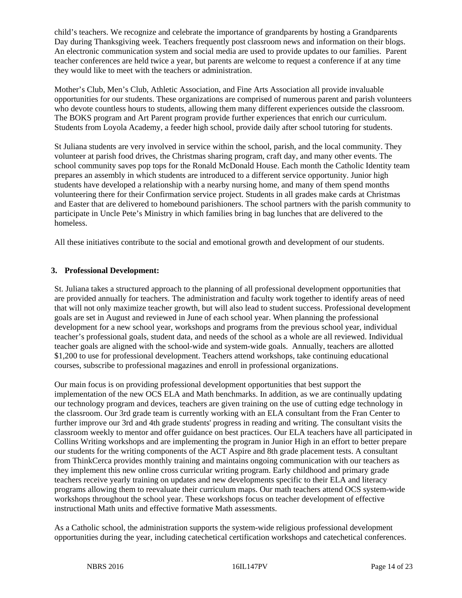child's teachers. We recognize and celebrate the importance of grandparents by hosting a Grandparents Day during Thanksgiving week. Teachers frequently post classroom news and information on their blogs. An electronic communication system and social media are used to provide updates to our families. Parent teacher conferences are held twice a year, but parents are welcome to request a conference if at any time they would like to meet with the teachers or administration.

Mother's Club, Men's Club, Athletic Association, and Fine Arts Association all provide invaluable opportunities for our students. These organizations are comprised of numerous parent and parish volunteers who devote countless hours to students, allowing them many different experiences outside the classroom. The BOKS program and Art Parent program provide further experiences that enrich our curriculum. Students from Loyola Academy, a feeder high school, provide daily after school tutoring for students.

St Juliana students are very involved in service within the school, parish, and the local community. They volunteer at parish food drives, the Christmas sharing program, craft day, and many other events. The school community saves pop tops for the Ronald McDonald House. Each month the Catholic Identity team prepares an assembly in which students are introduced to a different service opportunity. Junior high students have developed a relationship with a nearby nursing home, and many of them spend months volunteering there for their Confirmation service project. Students in all grades make cards at Christmas and Easter that are delivered to homebound parishioners. The school partners with the parish community to participate in Uncle Pete's Ministry in which families bring in bag lunches that are delivered to the homeless.

All these initiatives contribute to the social and emotional growth and development of our students.

#### **3. Professional Development:**

St. Juliana takes a structured approach to the planning of all professional development opportunities that are provided annually for teachers. The administration and faculty work together to identify areas of need that will not only maximize teacher growth, but will also lead to student success. Professional development goals are set in August and reviewed in June of each school year. When planning the professional development for a new school year, workshops and programs from the previous school year, individual teacher's professional goals, student data, and needs of the school as a whole are all reviewed. Individual teacher goals are aligned with the school-wide and system-wide goals. Annually, teachers are allotted \$1,200 to use for professional development. Teachers attend workshops, take continuing educational courses, subscribe to professional magazines and enroll in professional organizations.

Our main focus is on providing professional development opportunities that best support the implementation of the new OCS ELA and Math benchmarks. In addition, as we are continually updating our technology program and devices, teachers are given training on the use of cutting edge technology in the classroom. Our 3rd grade team is currently working with an ELA consultant from the Fran Center to further improve our 3rd and 4th grade students' progress in reading and writing. The consultant visits the classroom weekly to mentor and offer guidance on best practices. Our ELA teachers have all participated in Collins Writing workshops and are implementing the program in Junior High in an effort to better prepare our students for the writing components of the ACT Aspire and 8th grade placement tests. A consultant from ThinkCerca provides monthly training and maintains ongoing communication with our teachers as they implement this new online cross curricular writing program. Early childhood and primary grade teachers receive yearly training on updates and new developments specific to their ELA and literacy programs allowing them to reevaluate their curriculum maps. Our math teachers attend OCS system-wide workshops throughout the school year. These workshops focus on teacher development of effective instructional Math units and effective formative Math assessments.

As a Catholic school, the administration supports the system-wide religious professional development opportunities during the year, including catechetical certification workshops and catechetical conferences.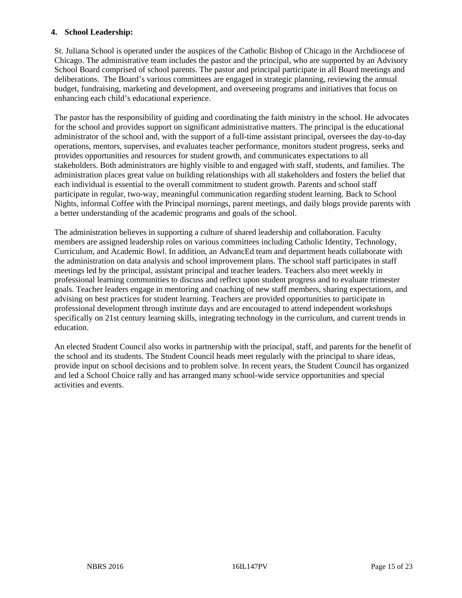#### **4. School Leadership:**

St. Juliana School is operated under the auspices of the Catholic Bishop of Chicago in the Archdiocese of Chicago. The administrative team includes the pastor and the principal, who are supported by an Advisory School Board comprised of school parents. The pastor and principal participate in all Board meetings and deliberations. The Board's various committees are engaged in strategic planning, reviewing the annual budget, fundraising, marketing and development, and overseeing programs and initiatives that focus on enhancing each child's educational experience.

The pastor has the responsibility of guiding and coordinating the faith ministry in the school. He advocates for the school and provides support on significant administrative matters. The principal is the educational administrator of the school and, with the support of a full-time assistant principal, oversees the day-to-day operations, mentors, supervises, and evaluates teacher performance, monitors student progress, seeks and provides opportunities and resources for student growth, and communicates expectations to all stakeholders. Both administrators are highly visible to and engaged with staff, students, and families. The administration places great value on building relationships with all stakeholders and fosters the belief that each individual is essential to the overall commitment to student growth. Parents and school staff participate in regular, two-way, meaningful communication regarding student learning. Back to School Nights, informal Coffee with the Principal mornings, parent meetings, and daily blogs provide parents with a better understanding of the academic programs and goals of the school.

The administration believes in supporting a culture of shared leadership and collaboration. Faculty members are assigned leadership roles on various committees including Catholic Identity, Technology, Curriculum, and Academic Bowl. In addition, an AdvancEd team and department heads collaborate with the administration on data analysis and school improvement plans. The school staff participates in staff meetings led by the principal, assistant principal and teacher leaders. Teachers also meet weekly in professional learning communities to discuss and reflect upon student progress and to evaluate trimester goals. Teacher leaders engage in mentoring and coaching of new staff members, sharing expectations, and advising on best practices for student learning. Teachers are provided opportunities to participate in professional development through institute days and are encouraged to attend independent workshops specifically on 21st century learning skills, integrating technology in the curriculum, and current trends in education.

An elected Student Council also works in partnership with the principal, staff, and parents for the benefit of the school and its students. The Student Council heads meet regularly with the principal to share ideas, provide input on school decisions and to problem solve. In recent years, the Student Council has organized and led a School Choice rally and has arranged many school-wide service opportunities and special activities and events.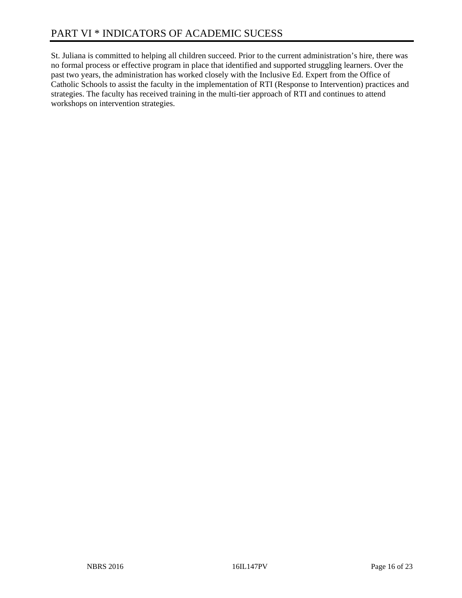St. Juliana is committed to helping all children succeed. Prior to the current administration's hire, there was no formal process or effective program in place that identified and supported struggling learners. Over the past two years, the administration has worked closely with the Inclusive Ed. Expert from the Office of Catholic Schools to assist the faculty in the implementation of RTI (Response to Intervention) practices and strategies. The faculty has received training in the multi-tier approach of RTI and continues to attend workshops on intervention strategies.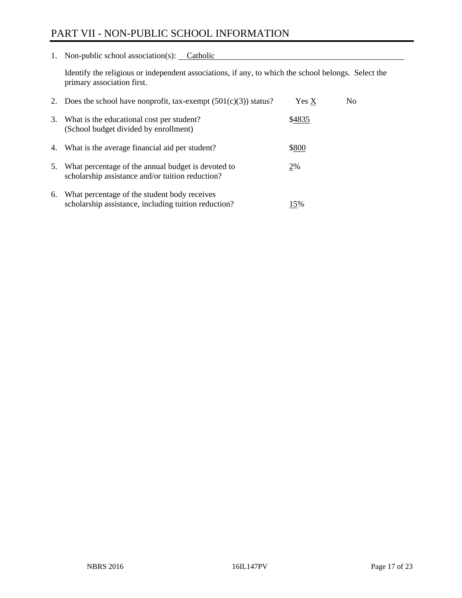# PART VII - NON-PUBLIC SCHOOL INFORMATION

1. Non-public school association(s): Catholic

Identify the religious or independent associations, if any, to which the school belongs. Select the primary association first.

| 2. | Does the school have nonprofit, tax-exempt $(501(c)(3))$ status?                                       | Yes X  | No. |
|----|--------------------------------------------------------------------------------------------------------|--------|-----|
| 3. | What is the educational cost per student?<br>(School budget divided by enrollment)                     | \$4835 |     |
|    | 4. What is the average financial aid per student?                                                      | \$800  |     |
|    | What percentage of the annual budget is devoted to<br>scholarship assistance and/or tuition reduction? | 2%     |     |
| 6. | What percentage of the student body receives<br>scholarship assistance, including tuition reduction?   | 15%    |     |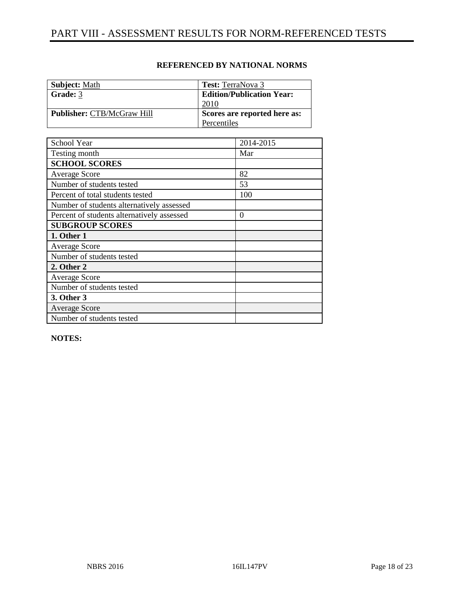| <b>Subject:</b> Math              | <b>Test:</b> TerraNova 3         |
|-----------------------------------|----------------------------------|
| Grade: 3                          | <b>Edition/Publication Year:</b> |
|                                   | 2010                             |
| <b>Publisher: CTB/McGraw Hill</b> | Scores are reported here as:     |
|                                   | Percentiles                      |

| School Year                                | 2014-2015        |
|--------------------------------------------|------------------|
| Testing month                              | Mar              |
| <b>SCHOOL SCORES</b>                       |                  |
| <b>Average Score</b>                       | 82               |
| Number of students tested                  | 53               |
| Percent of total students tested           | 100              |
| Number of students alternatively assessed  |                  |
| Percent of students alternatively assessed | $\boldsymbol{0}$ |
| <b>SUBGROUP SCORES</b>                     |                  |
| 1. Other 1                                 |                  |
| <b>Average Score</b>                       |                  |
| Number of students tested                  |                  |
| 2. Other 2                                 |                  |
| <b>Average Score</b>                       |                  |
| Number of students tested                  |                  |
| 3. Other 3                                 |                  |
| <b>Average Score</b>                       |                  |
| Number of students tested                  |                  |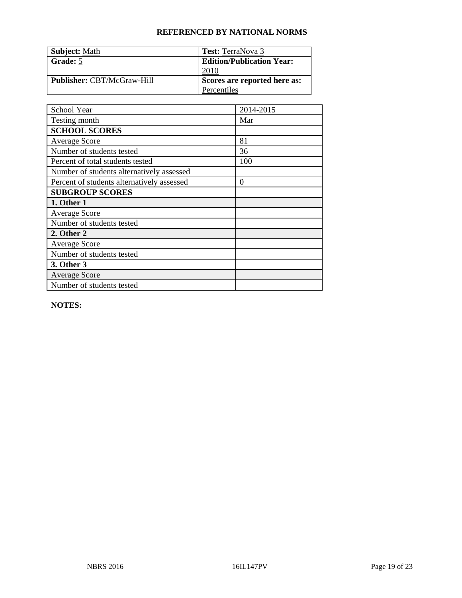| <b>Subject:</b> Math              | <b>Test:</b> TerraNova 3         |
|-----------------------------------|----------------------------------|
| Grade: 5                          | <b>Edition/Publication Year:</b> |
|                                   | 2010                             |
| <b>Publisher: CBT/McGraw-Hill</b> | Scores are reported here as:     |
|                                   | Percentiles                      |

| School Year                                | 2014-2015        |
|--------------------------------------------|------------------|
| Testing month                              | Mar              |
| <b>SCHOOL SCORES</b>                       |                  |
| <b>Average Score</b>                       | 81               |
| Number of students tested                  | 36               |
| Percent of total students tested           | 100              |
| Number of students alternatively assessed  |                  |
| Percent of students alternatively assessed | $\boldsymbol{0}$ |
| <b>SUBGROUP SCORES</b>                     |                  |
| 1. Other 1                                 |                  |
| <b>Average Score</b>                       |                  |
| Number of students tested                  |                  |
| 2. Other 2                                 |                  |
| <b>Average Score</b>                       |                  |
| Number of students tested                  |                  |
| 3. Other 3                                 |                  |
| <b>Average Score</b>                       |                  |
| Number of students tested                  |                  |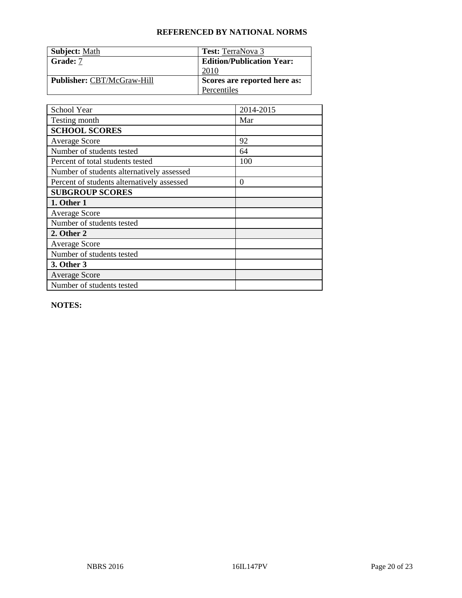| <b>Subject:</b> Math              | <b>Test:</b> TerraNova 3         |
|-----------------------------------|----------------------------------|
| Grade: 7                          | <b>Edition/Publication Year:</b> |
|                                   | 2010                             |
| <b>Publisher: CBT/McGraw-Hill</b> | Scores are reported here as:     |
|                                   | Percentiles                      |

| School Year                                | 2014-2015 |
|--------------------------------------------|-----------|
| Testing month                              | Mar       |
| <b>SCHOOL SCORES</b>                       |           |
| <b>Average Score</b>                       | 92        |
| Number of students tested                  | 64        |
| Percent of total students tested           | 100       |
| Number of students alternatively assessed  |           |
| Percent of students alternatively assessed | $\theta$  |
| <b>SUBGROUP SCORES</b>                     |           |
| 1. Other 1                                 |           |
| <b>Average Score</b>                       |           |
| Number of students tested                  |           |
| 2. Other 2                                 |           |
| <b>Average Score</b>                       |           |
| Number of students tested                  |           |
| 3. Other 3                                 |           |
| <b>Average Score</b>                       |           |
| Number of students tested                  |           |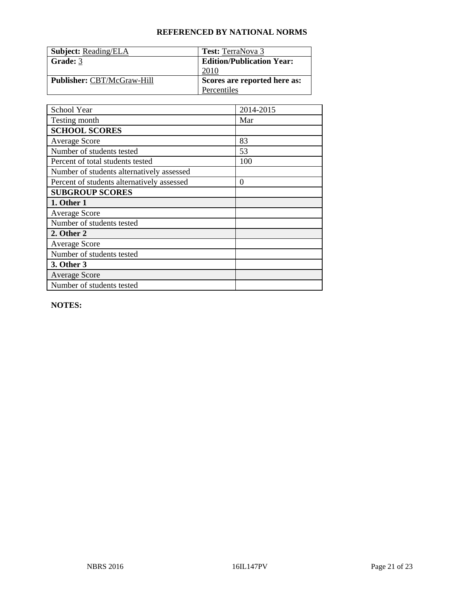| <b>Subject:</b> Reading/ELA       | <b>Test:</b> TerraNova 3         |
|-----------------------------------|----------------------------------|
| Grade: 3                          | <b>Edition/Publication Year:</b> |
|                                   | 2010                             |
| <b>Publisher: CBT/McGraw-Hill</b> | Scores are reported here as:     |
|                                   | Percentiles                      |

| School Year                                | 2014-2015        |
|--------------------------------------------|------------------|
| Testing month                              | Mar              |
| <b>SCHOOL SCORES</b>                       |                  |
| <b>Average Score</b>                       | 83               |
| Number of students tested                  | 53               |
| Percent of total students tested           | 100              |
| Number of students alternatively assessed  |                  |
| Percent of students alternatively assessed | $\boldsymbol{0}$ |
| <b>SUBGROUP SCORES</b>                     |                  |
| 1. Other 1                                 |                  |
| <b>Average Score</b>                       |                  |
| Number of students tested                  |                  |
| 2. Other 2                                 |                  |
| <b>Average Score</b>                       |                  |
| Number of students tested                  |                  |
| 3. Other 3                                 |                  |
| <b>Average Score</b>                       |                  |
| Number of students tested                  |                  |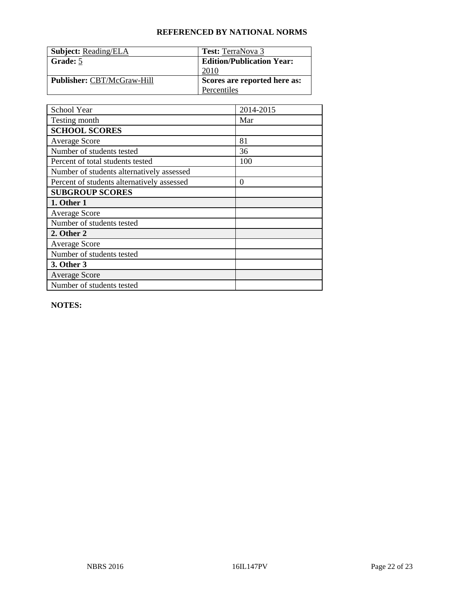| <b>Subject:</b> Reading/ELA       | <b>Test:</b> TerraNova 3         |
|-----------------------------------|----------------------------------|
| Grade: 5                          | <b>Edition/Publication Year:</b> |
|                                   | 2010                             |
| <b>Publisher: CBT/McGraw-Hill</b> | Scores are reported here as:     |
|                                   | Percentiles                      |

| School Year                                | 2014-2015        |
|--------------------------------------------|------------------|
| Testing month                              | Mar              |
| <b>SCHOOL SCORES</b>                       |                  |
| <b>Average Score</b>                       | 81               |
| Number of students tested                  | 36               |
| Percent of total students tested           | 100              |
| Number of students alternatively assessed  |                  |
| Percent of students alternatively assessed | $\boldsymbol{0}$ |
| <b>SUBGROUP SCORES</b>                     |                  |
| 1. Other 1                                 |                  |
| <b>Average Score</b>                       |                  |
| Number of students tested                  |                  |
| 2. Other 2                                 |                  |
| <b>Average Score</b>                       |                  |
| Number of students tested                  |                  |
| 3. Other 3                                 |                  |
| <b>Average Score</b>                       |                  |
| Number of students tested                  |                  |